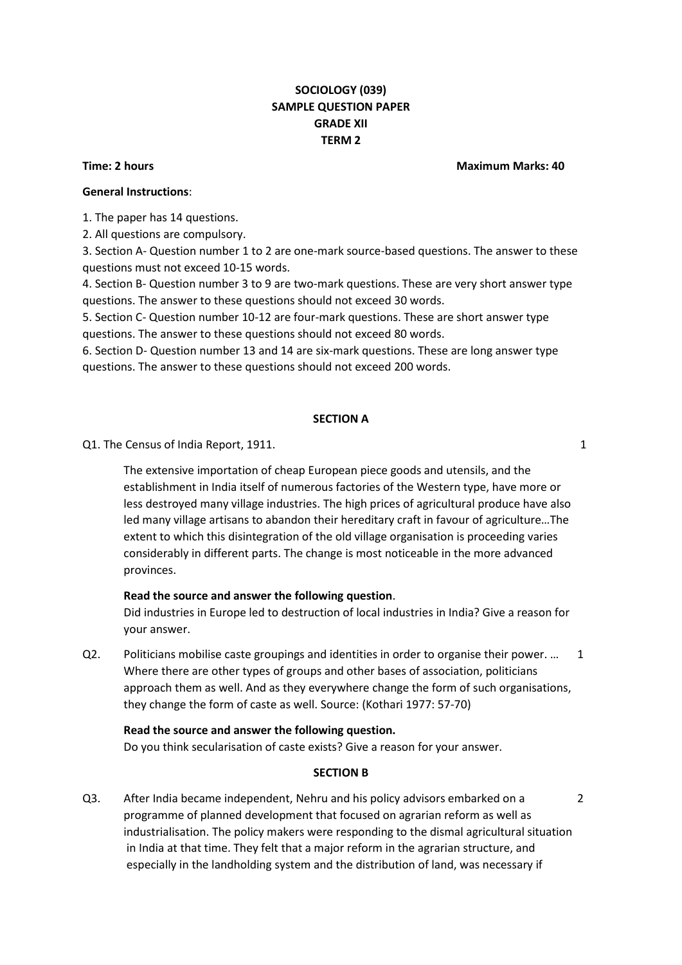# **SOCIOLOGY (039) SAMPLE QUESTION PAPER GRADE XII TERM 2**

## **General Instructions**:

1. The paper has 14 questions.

2. All questions are compulsory.

3. Section A- Question number 1 to 2 are one-mark source-based questions. The answer to these questions must not exceed 10-15 words.

4. Section B- Question number 3 to 9 are two-mark questions. These are very short answer type questions. The answer to these questions should not exceed 30 words.

5. Section C- Question number 10-12 are four-mark questions. These are short answer type questions. The answer to these questions should not exceed 80 words.

6. Section D- Question number 13 and 14 are six-mark questions. These are long answer type questions. The answer to these questions should not exceed 200 words.

## **SECTION A**

Q1. The Census of India Report, 1911. The Census of India Report, 1911.

The extensive importation of cheap European piece goods and utensils, and the establishment in India itself of numerous factories of the Western type, have more or less destroyed many village industries. The high prices of agricultural produce have also led many village artisans to abandon their hereditary craft in favour of agriculture…The extent to which this disintegration of the old village organisation is proceeding varies considerably in different parts. The change is most noticeable in the more advanced provinces.

# **Read the source and answer the following question**.

Did industries in Europe led to destruction of local industries in India? Give a reason for your answer.

Q2. Politicians mobilise caste groupings and identities in order to organise their power. ... 1 Where there are other types of groups and other bases of association, politicians approach them as well. And as they everywhere change the form of such organisations, they change the form of caste as well. Source: (Kothari 1977: 57-70)

## **Read the source and answer the following question.**

Do you think secularisation of caste exists? Give a reason for your answer.

## **SECTION B**

Q3. After India became independent, Nehru and his policy advisors embarked on a 2 programme of planned development that focused on agrarian reform as well as industrialisation. The policy makers were responding to the dismal agricultural situation in India at that time. They felt that a major reform in the agrarian structure, and especially in the landholding system and the distribution of land, was necessary if

#### **Time: 2 hours Maximum Marks: 40**